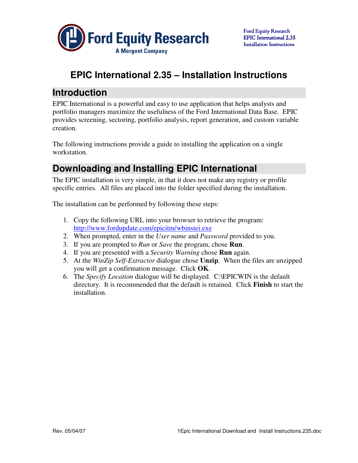

# **EPIC International 2.35 – Installation Instructions**

#### **Introduction**

EPIC International is a powerful and easy to use application that helps analysts and portfolio managers maximize the usefulness of the Ford International Data Base. EPIC provides screening, sectoring, portfolio analysis, report generation, and custom variable creation.

The following instructions provide a guide to installing the application on a single workstation.

## **Downloading and Installing EPIC International**

The EPIC installation is very simple, in that it does not make any registry or profile specific entries. All files are placed into the folder specified during the installation.

The installation can be performed by following these steps:

- 1. Copy the following URL into your browser to retrieve the program: http://www.fordupdate.com/epicitm/wbinstei.exe
- 2. When prompted, enter in the *User name* and *Password* provided to you.
- 3. If you are prompted to *Run* or *Save* the program, chose **Run**.
- 4. If you are presented with a *Security Warning* chose **Run** again.
- 5. At the *WinZip Self-Extractor* dialogue chose **Unzip**. When the files are unzipped you will get a confirmation message. Click **OK**.
- 6. The *Specify Location* dialogue will be displayed. C:\EPICWIN is the default directory. It is recommended that the default is retained. Click **Finish** to start the installation.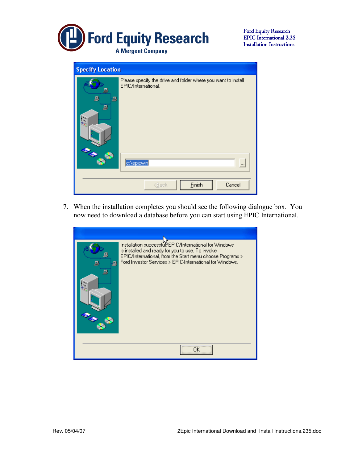

Ford Equity Research EPIC International 2.35 EPIC International 2.35 Installation Instructions

| <b>Specify Location</b> |                                                                                                               |
|-------------------------|---------------------------------------------------------------------------------------------------------------|
| 므<br>g<br>g<br>₽        | Please specify the drive and folder where you want to install<br><b>EPIC/International.</b><br>c:\epicwin<br> |
|                         | Einish<br>Cancel<br><back< th=""></back<>                                                                     |

7. When the installation completes you should see the following dialogue box. You now need to download a database before you can start using EPIC International.

| 鳳<br>髙 | Installation successful EPIC/International for Windows<br>is installed and ready for you to use. To invoke<br>EPIC/International, from the Start menu choose Programs ><br>Ford Investor Services > EPIC-International for Windows. |
|--------|-------------------------------------------------------------------------------------------------------------------------------------------------------------------------------------------------------------------------------------|
|        |                                                                                                                                                                                                                                     |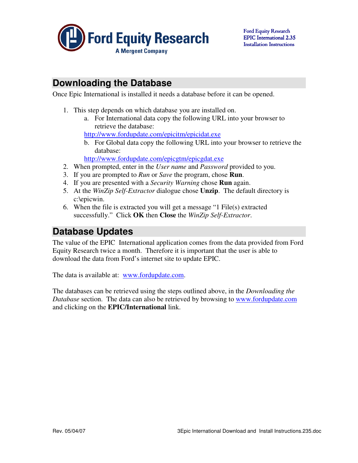

### **Downloading the Database**

Once Epic International is installed it needs a database before it can be opened.

- 1. This step depends on which database you are installed on.
	- a. For International data copy the following URL into your browser to retrieve the database:

http://www.fordupdate.com/epicitm/epicidat.exe

b. For Global data copy the following URL into your browser to retrieve the database:

http://www.fordupdate.com/epicgtm/epicgdat.exe

- 2. When prompted, enter in the *User name* and *Password* provided to you.
- 3. If you are prompted to *Run* or *Save* the program, chose **Run**.
- 4. If you are presented with a *Security Warning* chose **Run** again.
- 5. At the *WinZip Self-Extractor* dialogue chose **Unzip**. The default directory is c:\epicwin.
- 6. When the file is extracted you will get a message "1 File(s) extracted successfully." Click **OK** then **Close** the *WinZip Self-Extractor*.

### **Database Updates**

The value of the EPIC International application comes from the data provided from Ford Equity Research twice a month. Therefore it is important that the user is able to download the data from Ford's internet site to update EPIC.

The data is available at: www.fordupdate.com.

The databases can be retrieved using the steps outlined above, in the *Downloading the Database* section. The data can also be retrieved by browsing to www.fordupdate.com and clicking on the **EPIC/International** link.